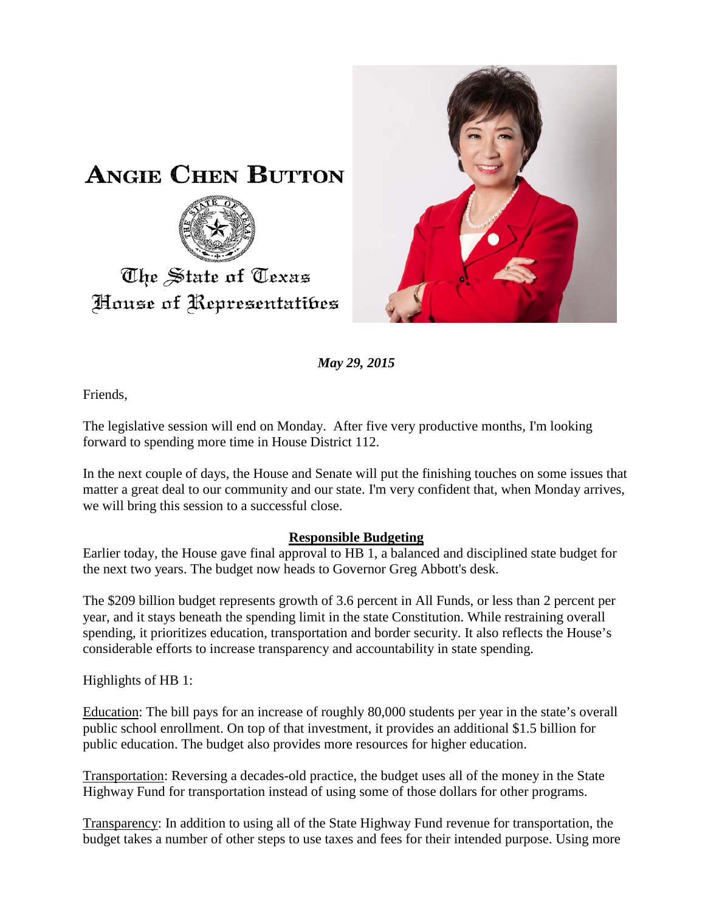

*May 29, 2015*

Friends,

The legislative session will end on Monday. After five very productive months, I'm looking forward to spending more time in House District 112.

In the next couple of days, the House and Senate will put the finishing touches on some issues that matter a great deal to our community and our state. I'm very confident that, when Monday arrives, we will bring this session to a successful close.

#### **Responsible Budgeting**

Earlier today, the House gave final approval to HB 1, a balanced and disciplined state budget for the next two years. The budget now heads to Governor Greg Abbott's desk.

The \$209 billion budget represents growth of 3.6 percent in All Funds, or less than 2 percent per year, and it stays beneath the spending limit in the state Constitution. While restraining overall spending, it prioritizes education, transportation and border security. It also reflects the House's considerable efforts to increase transparency and accountability in state spending.

Highlights of HB 1:

Education: The bill pays for an increase of roughly 80,000 students per year in the state's overall public school enrollment. On top of that investment, it provides an additional \$1.5 billion for public education. The budget also provides more resources for higher education.

Transportation: Reversing a decades-old practice, the budget uses all of the money in the State Highway Fund for transportation instead of using some of those dollars for other programs.

Transparency: In addition to using all of the State Highway Fund revenue for transportation, the budget takes a number of other steps to use taxes and fees for their intended purpose. Using more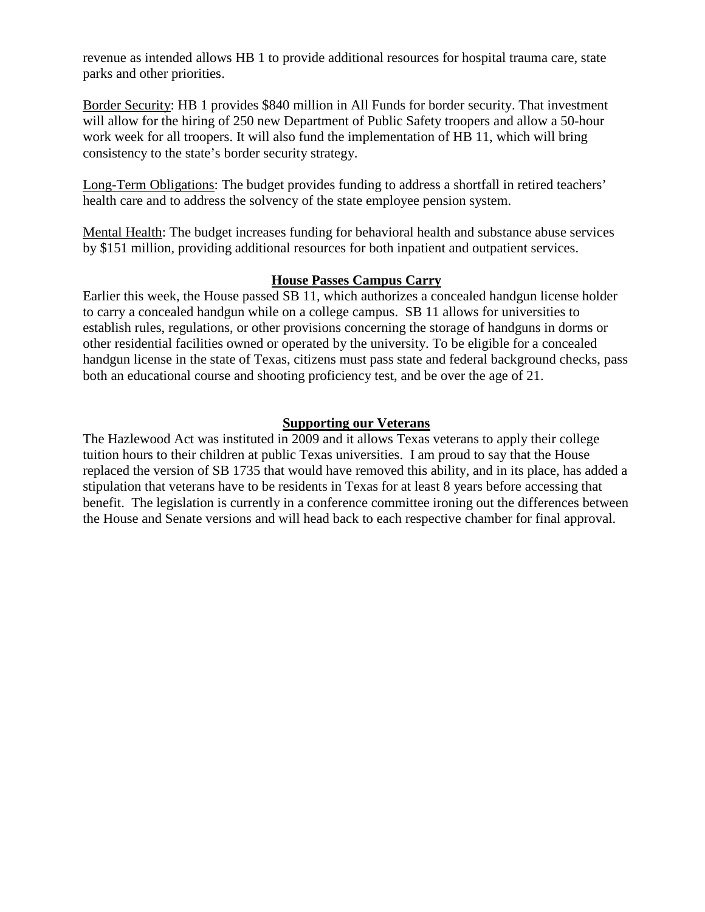revenue as intended allows HB 1 to provide additional resources for hospital trauma care, state parks and other priorities.

Border Security: HB 1 provides \$840 million in All Funds for border security. That investment will allow for the hiring of 250 new Department of Public Safety troopers and allow a 50-hour work week for all troopers. It will also fund the implementation of HB 11, which will bring consistency to the state's border security strategy.

Long-Term Obligations: The budget provides funding to address a shortfall in retired teachers' health care and to address the solvency of the state employee pension system.

Mental Health: The budget increases funding for behavioral health and substance abuse services by \$151 million, providing additional resources for both inpatient and outpatient services.

#### **House Passes Campus Carry**

Earlier this week, the House passed SB 11, which authorizes a concealed handgun license holder to carry a concealed handgun while on a college campus. SB 11 allows for universities to establish rules, regulations, or other provisions concerning the storage of handguns in dorms or other residential facilities owned or operated by the university. To be eligible for a concealed handgun license in the state of Texas, citizens must pass state and federal background checks, pass both an educational course and shooting proficiency test, and be over the age of 21.

## **Supporting our Veterans**

The Hazlewood Act was instituted in 2009 and it allows Texas veterans to apply their college tuition hours to their children at public Texas universities. I am proud to say that the House replaced the version of SB 1735 that would have removed this ability, and in its place, has added a stipulation that veterans have to be residents in Texas for at least 8 years before accessing that benefit. The legislation is currently in a conference committee ironing out the differences between the House and Senate versions and will head back to each respective chamber for final approval.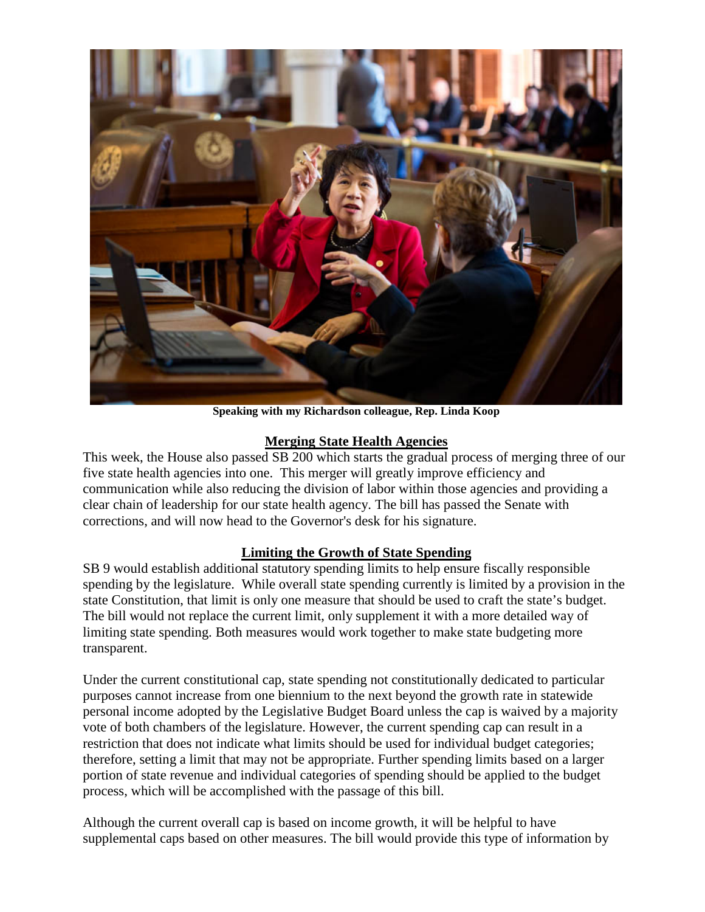

**Speaking with my Richardson colleague, Rep. Linda Koop**

## **Merging State Health Agencies**

This week, the House also passed SB 200 which starts the gradual process of merging three of our five state health agencies into one. This merger will greatly improve efficiency and communication while also reducing the division of labor within those agencies and providing a clear chain of leadership for our state health agency. The bill has passed the Senate with corrections, and will now head to the Governor's desk for his signature.

## **Limiting the Growth of State Spending**

SB 9 would establish additional statutory spending limits to help ensure fiscally responsible spending by the legislature. While overall state spending currently is limited by a provision in the state Constitution, that limit is only one measure that should be used to craft the state's budget. The bill would not replace the current limit, only supplement it with a more detailed way of limiting state spending. Both measures would work together to make state budgeting more transparent.

Under the current constitutional cap, state spending not constitutionally dedicated to particular purposes cannot increase from one biennium to the next beyond the growth rate in statewide personal income adopted by the Legislative Budget Board unless the cap is waived by a majority vote of both chambers of the legislature. However, the current spending cap can result in a restriction that does not indicate what limits should be used for individual budget categories; therefore, setting a limit that may not be appropriate. Further spending limits based on a larger portion of state revenue and individual categories of spending should be applied to the budget process, which will be accomplished with the passage of this bill.

Although the current overall cap is based on income growth, it will be helpful to have supplemental caps based on other measures. The bill would provide this type of information by